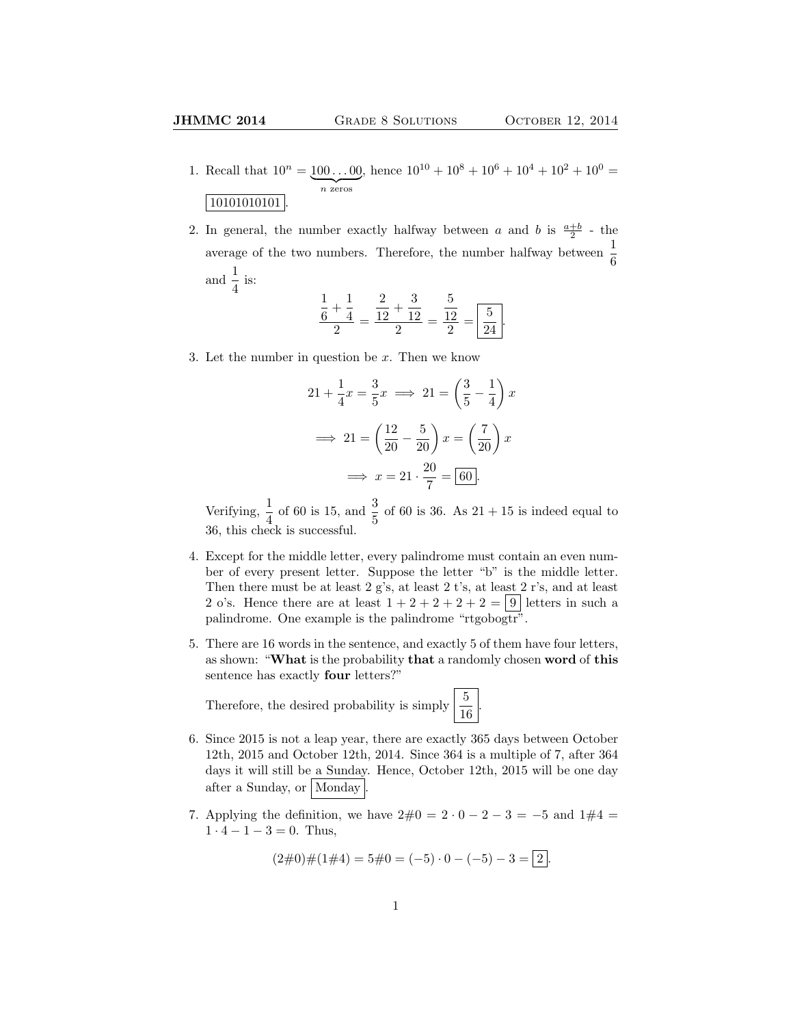- 1. Recall that  $10^n = 100...00$  $\overline{n}$  zeros , hence  $10^{10} + 10^8 + 10^6 + 10^4 + 10^2 + 10^0 =$ 10101010101
- 2. In general, the number exactly halfway between a and b is  $\frac{a+b}{2}$  the average of the two numbers. Therefore, the number halfway between  $\frac{1}{6}$ and  $\frac{1}{4}$  is:

$$
\frac{\frac{1}{6} + \frac{1}{4}}{2} = \frac{\frac{2}{12} + \frac{3}{12}}{2} = \frac{\frac{5}{12}}{2} = \boxed{\frac{5}{24}}.
$$

3. Let the number in question be  $x$ . Then we know

$$
21 + \frac{1}{4}x = \frac{3}{5}x \implies 21 = \left(\frac{3}{5} - \frac{1}{4}\right)x
$$

$$
\implies 21 = \left(\frac{12}{20} - \frac{5}{20}\right)x = \left(\frac{7}{20}\right)x
$$

$$
\implies x = 21 \cdot \frac{20}{7} = \boxed{60}.
$$

Verifying,  $\frac{1}{4}$  of 60 is 15, and  $\frac{3}{5}$  of 60 is 36. As 21 + 15 is indeed equal to 36, this check is successful.

- 4. Except for the middle letter, every palindrome must contain an even number of every present letter. Suppose the letter "b" is the middle letter. Then there must be at least 2 g's, at least 2 t's, at least 2 r's, and at least 2 o's. Hence there are at least  $1+2+2+2+2=9$  letters in such a palindrome. One example is the palindrome "rtgobogtr".
- 5. There are 16 words in the sentence, and exactly 5 of them have four letters, as shown: "What is the probability that a randomly chosen word of this sentence has exactly four letters?"

.

Therefore, the desired probability is simply  $\frac{5}{16}$ 

- 6. Since 2015 is not a leap year, there are exactly 365 days between October 12th, 2015 and October 12th, 2014. Since 364 is a multiple of 7, after 364 days it will still be a Sunday. Hence, October 12th, 2015 will be one day after a Sunday, or Monday
- 7. Applying the definition, we have  $2\#0 = 2 \cdot 0 2 3 = -5$  and  $1\#4 =$  $1 \cdot 4 - 1 - 3 = 0$ . Thus,

$$
(2\#0)\#(1\#4) = 5\#0 = (-5) \cdot 0 - (-5) - 3 = 2.
$$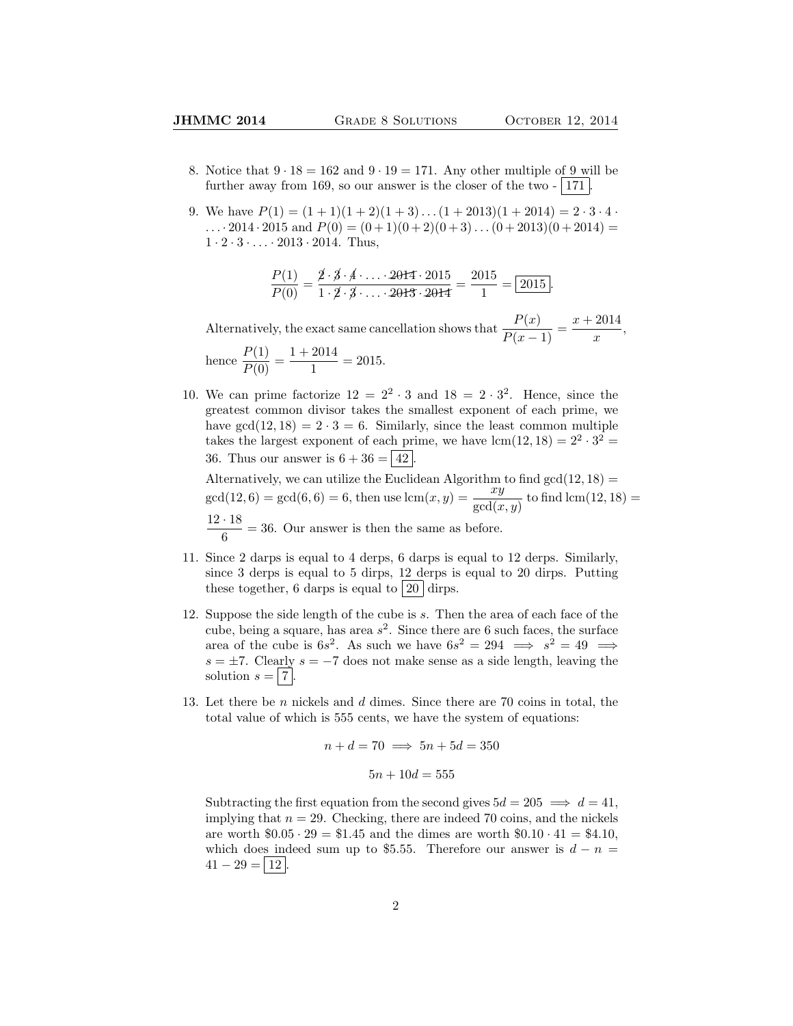- 8. Notice that  $9 \cdot 18 = 162$  and  $9 \cdot 19 = 171$ . Any other multiple of 9 will be further away from 169, so our answer is the closer of the two  $-$  171.
- 9. We have  $P(1) = (1 + 1)(1 + 2)(1 + 3) \dots (1 + 2013)(1 + 2014) = 2 \cdot 3 \cdot 4$ .  $\ldots$  2014 · 2015 and  $P(0) = (0+1)(0+2)(0+3)\ldots(0+2013)(0+2014) =$  $1 \cdot 2 \cdot 3 \cdot \ldots \cdot 2013 \cdot 2014$ . Thus,

$$
\frac{P(1)}{P(0)} = \frac{\cancel{2} \cdot \cancel{3} \cdot \cancel{4} \cdot \ldots \cdot 2014 \cdot 2015}{1 \cdot \cancel{2} \cdot \cancel{3} \cdot \ldots \cdot 2013 \cdot 2014} = \frac{2015}{1} = \boxed{2015}.
$$

Alternatively, the exact same cancellation shows that  $\frac{P(x)}{P(x-1)} = \frac{x + 2014}{x}$  $\frac{2011}{x},$ hence  $\frac{P(1)}{P(0)} = \frac{1 + 2014}{1}$  $\frac{2011}{1} = 2015.$ 

10. We can prime factorize  $12 = 2^2 \cdot 3$  and  $18 = 2 \cdot 3^2$ . Hence, since the greatest common divisor takes the smallest exponent of each prime, we have  $gcd(12, 18) = 2 \cdot 3 = 6$ . Similarly, since the least common multiple takes the largest exponent of each prime, we have  $lcm(12, 18) = 2^2 \cdot 3^2 =$ 36. Thus our answer is  $6 + 36 = 42$ .

Alternatively, we can utilize the Euclidean Algorithm to find  $gcd(12, 18) =$  $gcd(12, 6) = gcd(6, 6) = 6$ , then use  $lcm(x, y) = \frac{xy}{gcd(x, y)}$  to find  $lcm(12, 18) =$  $12 \cdot 18$  $\frac{1}{6}$  = 36. Our answer is then the same as before.

- 11. Since 2 darps is equal to 4 derps, 6 darps is equal to 12 derps. Similarly, since 3 derps is equal to 5 dirps, 12 derps is equal to 20 dirps. Putting these together, 6 darps is equal to  $20 \, \text{dirps}$ .
- 12. Suppose the side length of the cube is s. Then the area of each face of the cube, being a square, has area  $s^2$ . Since there are 6 such faces, the surface area of the cube is  $6s^2$ . As such we have  $6s^2 = 294 \implies s^2 = 49 \implies$  $s = \pm 7$ . Clearly  $s = -7$  does not make sense as a side length, leaving the solution  $s = |7|$
- 13. Let there be  $n$  nickels and  $d$  dimes. Since there are 70 coins in total, the total value of which is 555 cents, we have the system of equations:

$$
n + d = 70 \implies 5n + 5d = 350
$$

$$
5n + 10d = 555
$$

Subtracting the first equation from the second gives  $5d = 205 \implies d = 41$ , implying that  $n = 29$ . Checking, there are indeed 70 coins, and the nickels are worth  $$0.05 \cdot 29 = $1.45$  and the dimes are worth  $$0.10 \cdot 41 = $4.10$ , which does indeed sum up to \$5.55. Therefore our answer is  $d - n =$  $41 - 29 = 12$ .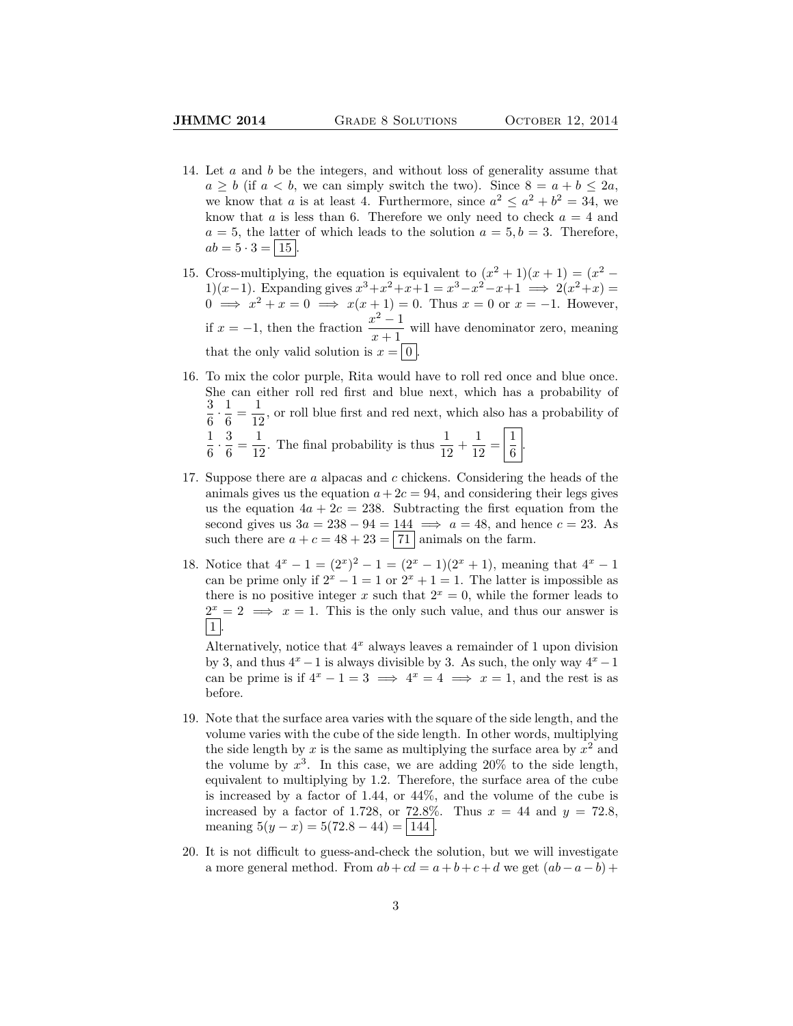- 14. Let a and b be the integers, and without loss of generality assume that  $a \geq b$  (if  $a < b$ , we can simply switch the two). Since  $8 = a + b \leq 2a$ , we know that a is at least 4. Furthermore, since  $a^2 \le a^2 + b^2 = 34$ , we know that a is less than 6. Therefore we only need to check  $a = 4$  and  $a = 5$ , the latter of which leads to the solution  $a = 5, b = 3$ . Therefore,  $ab = 5 \cdot 3 = | 15 |.$
- 15. Cross-multiplying, the equation is equivalent to  $(x^2 + 1)(x + 1) = (x^2 -$ 1)(x-1). Expanding gives  $x^3 + x^2 + x + 1 = x^3 - x^2 - x + 1 \implies 2(x^2 + x) =$  $0 \implies x^2 + x = 0 \implies x(x+1) = 0$ . Thus  $x = 0$  or  $x = -1$ . However, if  $x = -1$ , then the fraction  $\frac{x^2 - 1}{x-1}$  $\frac{x}{x+1}$  will have denominator zero, meaning that the only valid solution is  $x = |0|$ .
- 16. To mix the color purple, Rita would have to roll red once and blue once. She can either roll red first and blue next, which has a probability of 3  $\frac{3}{6} \cdot \frac{1}{6}$  $\frac{1}{6} = \frac{1}{12}$  $\frac{1}{12}$ , or roll blue first and red next, which also has a probability of 1  $\frac{1}{6} \cdot \frac{3}{6}$  $\frac{3}{6} = \frac{1}{12}$  $\frac{1}{12}$ . The final probability is thus  $\frac{1}{12} + \frac{1}{12}$  $\frac{1}{12} = \left| \frac{1}{6} \right|$  $\frac{1}{6}$
- 17. Suppose there are a alpacas and c chickens. Considering the heads of the animals gives us the equation  $a + 2c = 94$ , and considering their legs gives us the equation  $4a + 2c = 238$ . Subtracting the first equation from the second gives us  $3a = 238 - 94 = 144 \implies a = 48$ , and hence  $c = 23$ . As such there are  $a + c = 48 + 23 = 71$  animals on the farm.
- 18. Notice that  $4^x 1 = (2^x)^2 1 = (2^x 1)(2^x + 1)$ , meaning that  $4^x 1$ can be prime only if  $2^x - 1 = 1$  or  $2^x + 1 = 1$ . The latter is impossible as there is no positive integer x such that  $2^x = 0$ , while the former leads to  $2^x = 2 \implies x = 1$ . This is the only such value, and thus our answer is  $\vert 1 \vert$

Alternatively, notice that  $4^x$  always leaves a remainder of 1 upon division by 3, and thus  $4^x - 1$  is always divisible by 3. As such, the only way  $4^x - 1$ can be prime is if  $4^x - 1 = 3 \implies 4^x = 4 \implies x = 1$ , and the rest is as before.

- 19. Note that the surface area varies with the square of the side length, and the volume varies with the cube of the side length. In other words, multiplying the side length by x is the same as multiplying the surface area by  $x^2$  and the volume by  $x^3$ . In this case, we are adding 20% to the side length, equivalent to multiplying by 1.2. Therefore, the surface area of the cube is increased by a factor of 1.44, or 44%, and the volume of the cube is increased by a factor of 1.728, or 72.8%. Thus  $x = 44$  and  $y = 72.8$ , meaning  $5(y - x) = 5(72.8 - 44) = |144|$ .
- 20. It is not difficult to guess-and-check the solution, but we will investigate a more general method. From  $ab + cd = a + b + c + d$  we get  $(ab - a - b) +$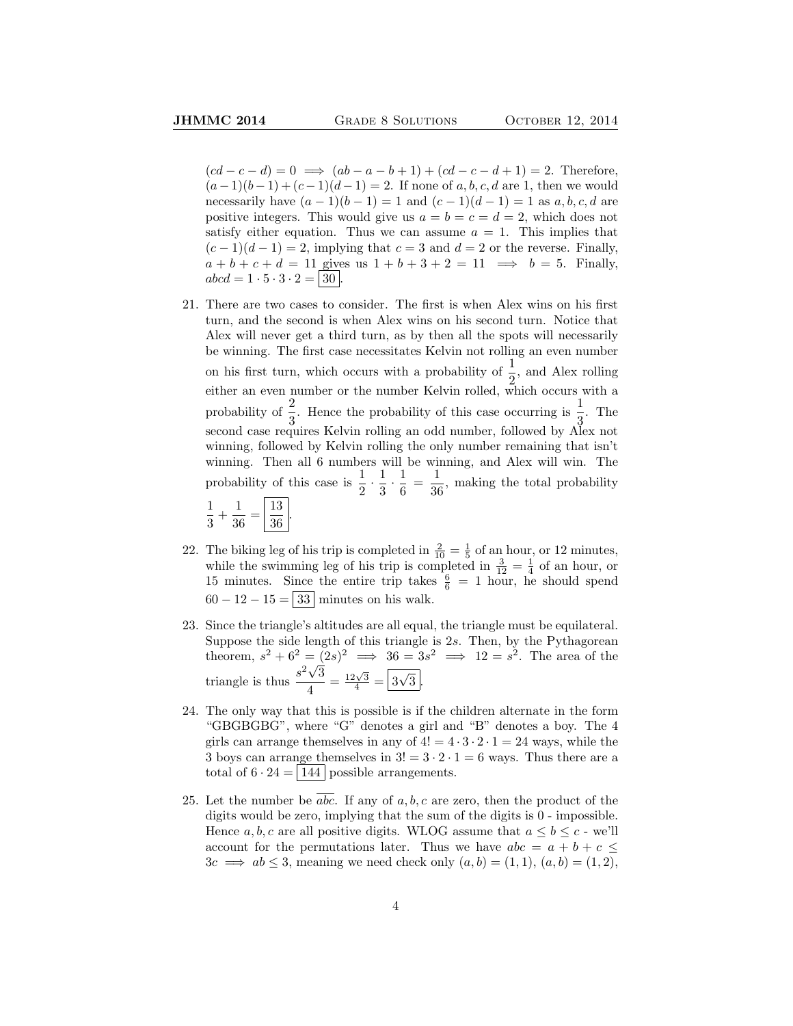$(cd - c - d) = 0 \implies (ab - a - b + 1) + (cd - c - d + 1) = 2.$  Therefore,  $(a-1)(b-1)+(c-1)(d-1)=2$ . If none of a, b, c, d are 1, then we would necessarily have  $(a - 1)(b - 1) = 1$  and  $(c - 1)(d - 1) = 1$  as  $a, b, c, d$  are positive integers. This would give us  $a = b = c = d = 2$ , which does not satisfy either equation. Thus we can assume  $a = 1$ . This implies that  $(c-1)(d-1) = 2$ , implying that  $c = 3$  and  $d = 2$  or the reverse. Finally,  $a + b + c + d = 11$  gives us  $1 + b + 3 + 2 = 11 \implies b = 5$ . Finally,  $abcd = 1 \cdot 5 \cdot 3 \cdot 2 = |30|$ 

- 21. There are two cases to consider. The first is when Alex wins on his first turn, and the second is when Alex wins on his second turn. Notice that Alex will never get a third turn, as by then all the spots will necessarily be winning. The first case necessitates Kelvin not rolling an even number on his first turn, which occurs with a probability of  $\frac{1}{6}$ , and Alex rolling either an even number or the number Kelvin rolled, which occurs with a either an even number or the number Kelvin rolled, which occurs with a probability of  $\frac{2}{3}$ . Hence the probability of this case occurring is  $\frac{1}{3}$ . The second case requires Kelvin rolling an odd number, followed by Alex not winning, followed by Kelvin rolling the only number remaining that isn't winning. Then all 6 numbers will be winning, and Alex will win. The probability of this case is  $\frac{1}{2} \cdot \frac{1}{3}$  $\frac{1}{3} \cdot \frac{1}{6}$  $\frac{1}{6} = \frac{1}{36}$  $\frac{1}{36}$ , making the total probability 1 .
	- $\frac{1}{3} + \frac{1}{36}$  $\frac{1}{36} = \frac{13}{36}$ 36
- 22. The biking leg of his trip is completed in  $\frac{2}{10} = \frac{1}{5}$  of an hour, or 12 minutes, while the swimming leg of his trip is completed in  $\frac{3}{12} = \frac{1}{4}$  of an hour, or 15 minutes. Since the entire trip takes  $\frac{6}{6}$  = 1 hour, he should spend  $60 - 12 - 15 = 33$  minutes on his walk.
- 23. Since the triangle's altitudes are all equal, the triangle must be equilateral. Suppose the side length of this triangle is 2s. Then, by the Pythagorean theorem,  $s^2 + 6^2 = (2s)^2 \implies 36 = 3s^2 \implies 12 = s^2$ . The area of the triangle is thus  $\frac{s^2\sqrt{3}}{4}$  $\frac{\sqrt{3}}{4} = \frac{12\sqrt{3}}{4} = \boxed{3}$ √  $3<sup>2</sup>$ .
- 24. The only way that this is possible is if the children alternate in the form "GBGBGBG", where "G" denotes a girl and "B" denotes a boy. The 4 girls can arrange themselves in any of  $4! = 4 \cdot 3 \cdot 2 \cdot 1 = 24$  ways, while the 3 boys can arrange themselves in  $3! = 3 \cdot 2 \cdot 1 = 6$  ways. Thus there are a total of  $6 \cdot 24 = |144|$  possible arrangements.
- 25. Let the number be  $\overline{abc}$ . If any of a, b, c are zero, then the product of the digits would be zero, implying that the sum of the digits is 0 - impossible. Hence a, b, c are all positive digits. WLOG assume that  $a \leq b \leq c$  - we'll account for the permutations later. Thus we have  $abc = a + b + c \leq$  $3c \implies ab \leq 3$ , meaning we need check only  $(a, b) = (1, 1), (a, b) = (1, 2),$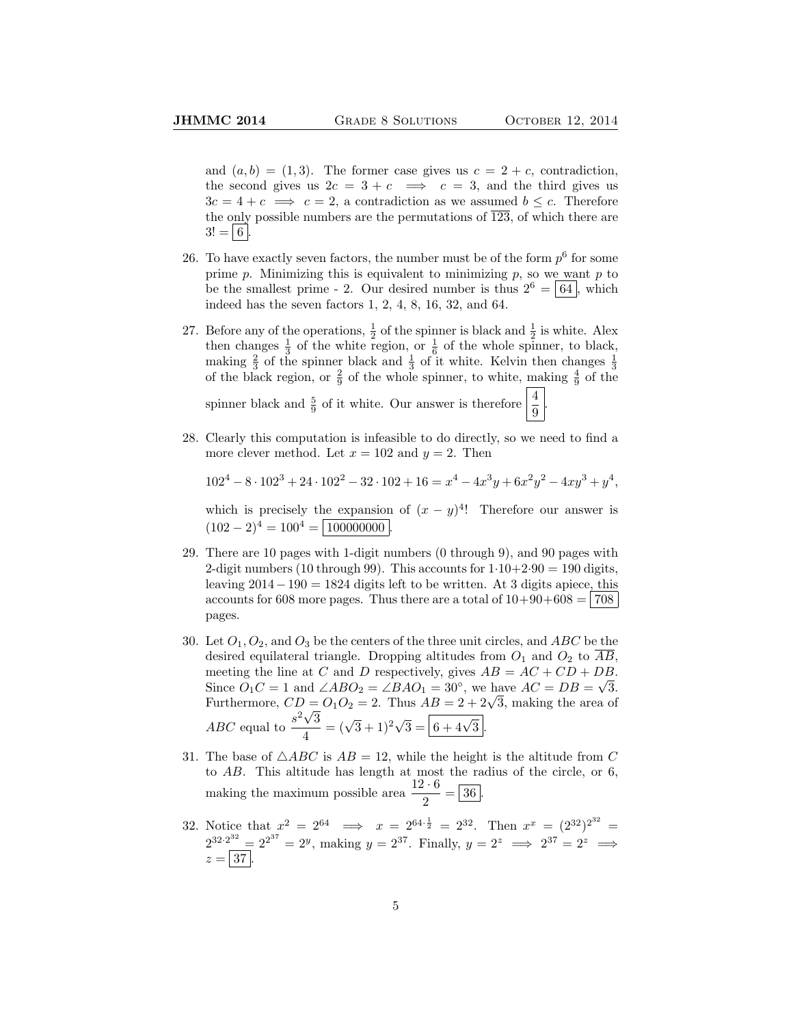.

and  $(a, b) = (1, 3)$ . The former case gives us  $c = 2 + c$ , contradiction, the second gives us  $2c = 3 + c \implies c = 3$ , and the third gives us  $3c = 4 + c \implies c = 2$ , a contradiction as we assumed  $b \leq c$ . Therefore the only possible numbers are the permutations of  $\overline{123}$ , of which there are  $3! = 6$ .

- 26. To have exactly seven factors, the number must be of the form  $p^6$  for some prime  $p$ . Minimizing this is equivalent to minimizing  $p$ , so we want  $p$  to be the smallest prime - 2. Our desired number is thus  $2^6 = |64|$ , which indeed has the seven factors 1, 2, 4, 8, 16, 32, and 64.
- 27. Before any of the operations,  $\frac{1}{2}$  of the spinner is black and  $\frac{1}{2}$  is white. Alex then changes  $\frac{1}{3}$  of the white region, or  $\frac{1}{6}$  of the whole spinner, to black, making  $\frac{2}{3}$  of the spinner black and  $\frac{1}{3}$  of it white. Kelvin then changes  $\frac{1}{3}$ of the black region, or  $\frac{2}{9}$  of the whole spinner, to white,  $\frac{1}{2}$  of the

spinner black and  $\frac{5}{9}$  of it white. Our answer is therefore  $\frac{4}{9}$ 

28. Clearly this computation is infeasible to do directly, so we need to find a more clever method. Let  $x = 102$  and  $y = 2$ . Then

 $102^4 - 8 \cdot 102^3 + 24 \cdot 102^2 - 32 \cdot 102 + 16 = x^4 - 4x^3y + 6x^2y^2 - 4xy^3 + y^4$ 

which is precisely the expansion of  $(x - y)^4$ ! Therefore our answer is  $(102 - 2)^4 = 100^4 = 100000000$ 

- 29. There are 10 pages with 1-digit numbers (0 through 9), and 90 pages with 2-digit numbers (10 through 99). This accounts for  $1 \cdot 10 + 2 \cdot 90 = 190$  digits, leaving  $2014-190 = 1824$  digits left to be written. At 3 digits apiece, this accounts for 608 more pages. Thus there are a total of  $10+90+608 = 708$ pages.
- 30. Let  $O_1$ ,  $O_2$ , and  $O_3$  be the centers of the three unit circles, and ABC be the desired equilateral triangle. Dropping altitudes from  $O_1$  and  $O_2$  to  $\overline{AB}$ , meeting the line at C and D respectively, gives  $AB = AC + CD + DB$ . Since  $\ddot{O}_1C = 1$  and  $\angle ABO_2 = \angle BAO_1 = 30^\circ$ , we have  $AC = DB = \sqrt{3}$ . Since  $O_1C = 1$  and  $\angle ABO_2 = \angle BAO_1 = 30^{\degree}$ , we have  $AC = DB = \sqrt{3}$ .<br>Furthermore,  $CD = O_1O_2 = 2$ . Thus  $AB = 2 + 2\sqrt{3}$ , making the area of Furthermore,  $CD =$ <br>ABC equal to  $\frac{s^2\sqrt{}}{4}$ 3  $\frac{\sqrt{3}}{4} = (\sqrt{3} + 1)^2 \sqrt{3} = \boxed{6 + 4\sqrt{3}}.$
- 31. The base of  $\triangle ABC$  is  $AB = 12$ , while the height is the altitude from C to AB. This altitude has length at most the radius of the circle, or 6, making the maximum possible area  $\frac{12 \cdot 6}{2} = 36$ .
- 32. Notice that  $x^2 = 2^{64} \implies x = 2^{64 \cdot \frac{1}{2}} = 2^{32}$ . Then  $x^x = (2^{32})^{2^{32}} =$  $2^{32 \cdot 2^{32}} = 2^{2^{37}} = 2^y$ , making  $y = 2^{37}$ . Finally,  $y = 2^z \implies 2^{37} = 2^z \implies$  $z = |37|$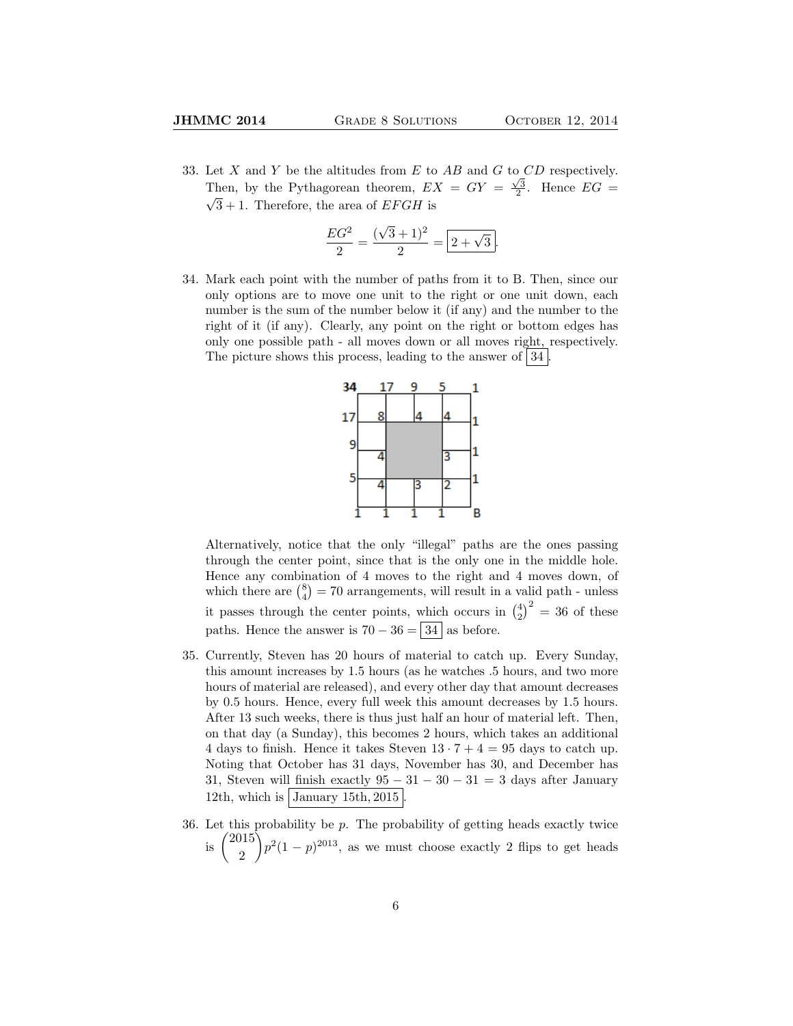33. Let X and Y be the altitudes from E to AB and G to  $CD$  respectively. Then, by the Pythagorean theorem,  $EX = GY = \frac{\sqrt{3}}{2}$ . Hence  $EG = \sqrt{3}$  $\sqrt{3} + 1$ . Therefore, the area of *EFGH* is

$$
\frac{EG^2}{2} = \frac{(\sqrt{3} + 1)^2}{2} = \boxed{2 + \sqrt{3}}.
$$

34. Mark each point with the number of paths from it to B. Then, since our only options are to move one unit to the right or one unit down, each number is the sum of the number below it (if any) and the number to the right of it (if any). Clearly, any point on the right or bottom edges has only one possible path - all moves down or all moves right, respectively. The picture shows this process, leading to the answer of  $|34|$ .



Alternatively, notice that the only "illegal" paths are the ones passing through the center point, since that is the only one in the middle hole. Hence any combination of 4 moves to the right and 4 moves down, of which there are  $\binom{8}{4} = 70$  arrangements, will result in a valid path - unless it passes through the center points, which occurs in  $\binom{4}{2}^2 = 36$  of these paths. Hence the answer is  $70 - 36 = 34$  as before.

- 35. Currently, Steven has 20 hours of material to catch up. Every Sunday, this amount increases by 1.5 hours (as he watches .5 hours, and two more hours of material are released), and every other day that amount decreases by 0.5 hours. Hence, every full week this amount decreases by 1.5 hours. After 13 such weeks, there is thus just half an hour of material left. Then, on that day (a Sunday), this becomes 2 hours, which takes an additional 4 days to finish. Hence it takes Steven  $13 \cdot 7 + 4 = 95$  days to catch up. Noting that October has 31 days, November has 30, and December has 31, Steven will finish exactly  $95 - 31 - 30 - 31 = 3$  days after January 12th, which is  $\vert$  January 15th, 2015
- 36. Let this probability be  $p$ . The probability of getting heads exactly twice is  $\binom{2015}{8}$ 2  $\binom{p^2(1-p)^{2013}}{p^2(1-p)^{2013}}$ , as we must choose exactly 2 flips to get heads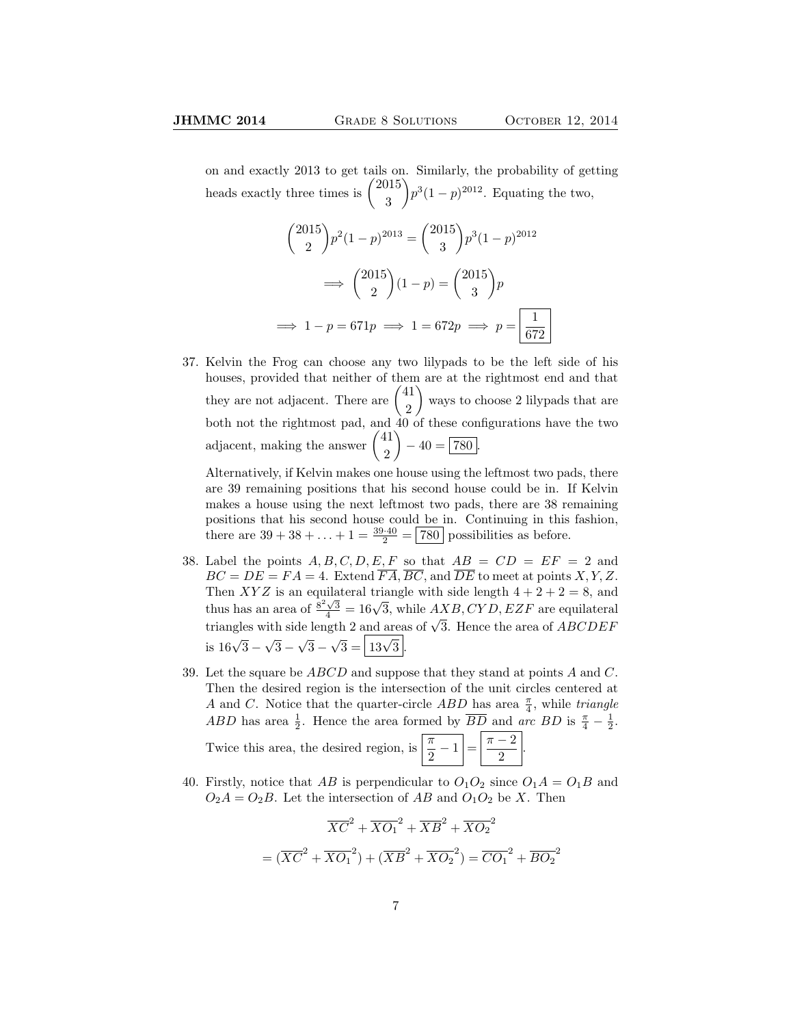on and exactly 2013 to get tails on. Similarly, the probability of getting heads exactly three times is  $\binom{2015}{8}$ 3  $\left\{ p^{3}(1-p)^{2012} \right\}$ . Equating the two,

$$
{2015 \choose 2} p^2 (1-p)^{2013} = {2015 \choose 3} p^3 (1-p)^{2012}
$$

$$
\implies {2015 \choose 2} (1-p) = {2015 \choose 3} p
$$

$$
\implies 1-p = 671p \implies 1 = 672p \implies p = \boxed{\frac{1}{672}}
$$

37. Kelvin the Frog can choose any two lilypads to be the left side of his houses, provided that neither of them are at the rightmost end and that they are not adjacent. There are  $\binom{41}{8}$ 2 ways to choose 2 lilypads that are both not the rightmost pad, and 40 of these configurations have the two adjacent, making the answer  $\binom{41}{2}$ 2  $-40 = 780.$ 

Alternatively, if Kelvin makes one house using the leftmost two pads, there are 39 remaining positions that his second house could be in. If Kelvin makes a house using the next leftmost two pads, there are 38 remaining positions that his second house could be in. Continuing in this fashion, there are  $39 + 38 + ... + 1 = \frac{39 \cdot 40}{2} = \boxed{780}$  possibilities as before.

- 38. Label the points  $A, B, C, D, E, F$  so that  $AB = CD = EF = 2$  and  $BC = DE = FA = 4$ . Extend  $\overline{FA}$ ,  $\overline{BC}$ , and  $\overline{DE}$  to meet at points X, Y, Z. Then XYZ is an equilateral triangle with side length  $4 + 2 + 2 = 8$ , and then  $\overline{X}$  is an equilateral triangle with side length  $4 + 2 + 2 = 8$ , and<br>thus has an area of  $\frac{8^2\sqrt{3}}{4} = 16\sqrt{3}$ , while  $AXB, CYD, EZF$  are equilateral triangles with side length 2 and areas of  $\sqrt{3}$ . Hence the area of *ABCDEF*  $\frac{1}{16\sqrt{3}}$  – √ 3 − √ 3 −  $\sqrt{3} = \sqrt{13\sqrt{3}}$ .
- 39. Let the square be  $ABCD$  and suppose that they stand at points A and C. Then the desired region is the intersection of the unit circles centered at A and C. Notice that the quarter-circle ABD has area  $\frac{\pi}{4}$ , while *triangle* ABD has area  $\frac{1}{2}$ . Hence the area formed by  $\overline{BD}$  and arc BD is  $\frac{\pi}{4} - \frac{1}{2}$ . Twice this area, the desired region, is  $\boxed{\frac{\pi}{2} - 1} = \boxed{\frac{\pi - 2}{2}}$  $\frac{2}{2}$ .
- 40. Firstly, notice that AB is perpendicular to  $O_1O_2$  since  $O_1A = O_1B$  and  $O_2A = O_2B$ . Let the intersection of AB and  $O_1O_2$  be X. Then

$$
\overline{XC}^2 + \overline{XO_1}^2 + \overline{XB}^2 + \overline{XO_2}^2
$$

$$
= (\overline{XC}^2 + \overline{XO_1}^2) + (\overline{XB}^2 + \overline{XO_2}^2) = \overline{CO_1}^2 + \overline{BO_2}^2
$$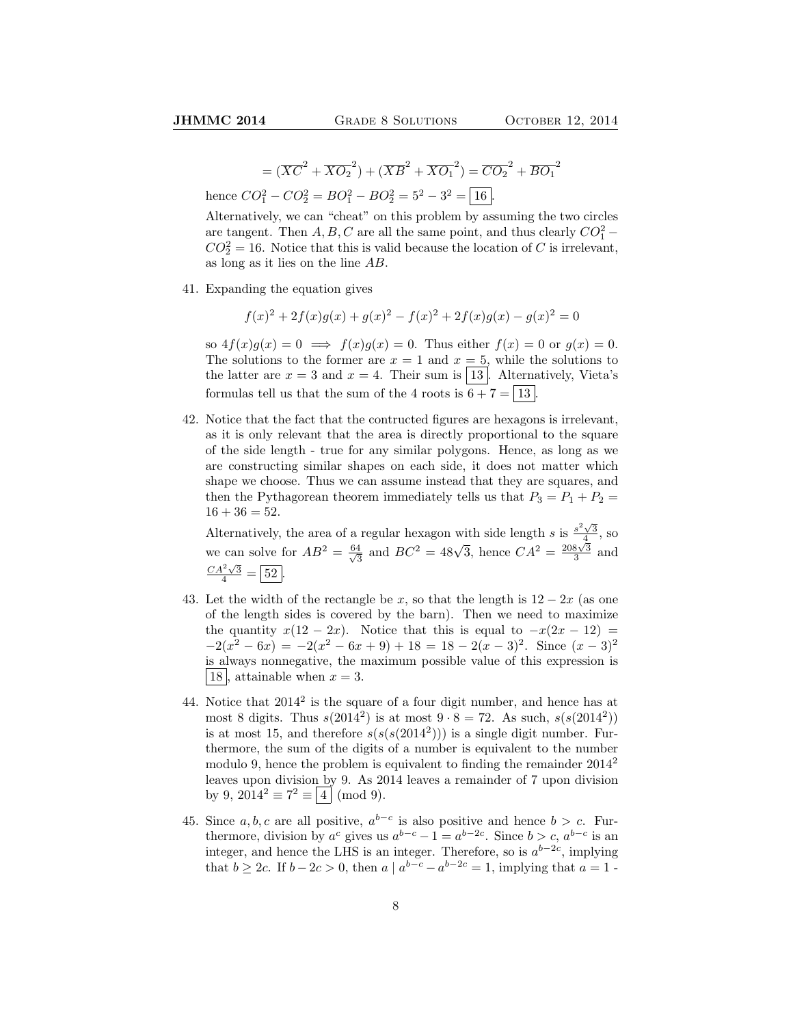$$
= (\overline{XC}^2 + \overline{XO_2}^2) + (\overline{XB}^2 + \overline{XO_1}^2) = \overline{CO_2}^2 + \overline{BO_1}^2
$$

hence  $CO_1^2 - CO_2^2 = BO_1^2 - BO_2^2 = 5^2 - 3^2 = \boxed{16}$ .

Alternatively, we can "cheat" on this problem by assuming the two circles are tangent. Then  $A, B, C$  are all the same point, and thus clearly  $CO_1^2$  –  $CO_2^2 = 16$ . Notice that this is valid because the location of C is irrelevant, as long as it lies on the line AB.

41. Expanding the equation gives

$$
f(x)^{2} + 2f(x)g(x) + g(x)^{2} - f(x)^{2} + 2f(x)g(x) - g(x)^{2} = 0
$$

so  $4f(x)g(x) = 0 \implies f(x)g(x) = 0$ . Thus either  $f(x) = 0$  or  $g(x) = 0$ . The solutions to the former are  $x = 1$  and  $x = 5$ , while the solutions to the latter are  $x = 3$  and  $x = 4$ . Their sum is [13]. Alternatively, Vieta's formulas tell us that the sum of the 4 roots is  $6 + 7 = \boxed{13}$ 

42. Notice that the fact that the contructed figures are hexagons is irrelevant, as it is only relevant that the area is directly proportional to the square of the side length - true for any similar polygons. Hence, as long as we are constructing similar shapes on each side, it does not matter which shape we choose. Thus we can assume instead that they are squares, and then the Pythagorean theorem immediately tells us that  $P_3 = P_1 + P_2 =$  $16 + 36 = 52.$ 

Alternatively, the area of a regular hexagon with side length s is  $\frac{s^2\sqrt{3}}{4}$ , so we can solve for  $AB^2 = \frac{64}{\sqrt{6}}$  $\frac{4}{3}$  and  $BC^2 = 48\sqrt{3}$ , hence  $CA^2 = \frac{208\sqrt{3}}{3}$  and  $\frac{CA^2\sqrt{3}}{4} = \boxed{52}.$ 

- 43. Let the width of the rectangle be x, so that the length is  $12 2x$  (as one of the length sides is covered by the barn). Then we need to maximize the quantity  $x(12 - 2x)$ . Notice that this is equal to  $-x(2x - 12) =$  $-2(x^2 - 6x) = -2(x^2 - 6x + 9) + 18 = 18 - 2(x - 3)^2$ . Since  $(x - 3)^2$ is always nonnegative, the maximum possible value of this expression is | 18 , attainable when  $x = 3$ .
- 44. Notice that  $2014^2$  is the square of a four digit number, and hence has at most 8 digits. Thus  $s(2014^2)$  is at most  $9 \cdot 8 = 72$ . As such,  $s(s(2014^2))$ is at most 15, and therefore  $s(s(s(2014^2)))$  is a single digit number. Furthermore, the sum of the digits of a number is equivalent to the number modulo 9, hence the problem is equivalent to finding the remainder  $2014^2$ leaves upon division by 9. As 2014 leaves a remainder of 7 upon division by 9,  $2014^2 \equiv 7^2 \equiv |4| \pmod{9}$ .
- 45. Since  $a, b, c$  are all positive,  $a^{b-c}$  is also positive and hence  $b > c$ . Furthermore, division by  $a^c$  gives us  $a^{b-c}-1 = a^{b-2c}$ . Since  $b > c$ ,  $a^{b-c}$  is an integer, and hence the LHS is an integer. Therefore, so is  $a^{b-2c}$ , implying that  $b \ge 2c$ . If  $b - 2c > 0$ , then  $a \mid a^{b-c} - a^{b-2c} = 1$ , implying that  $a = 1$ .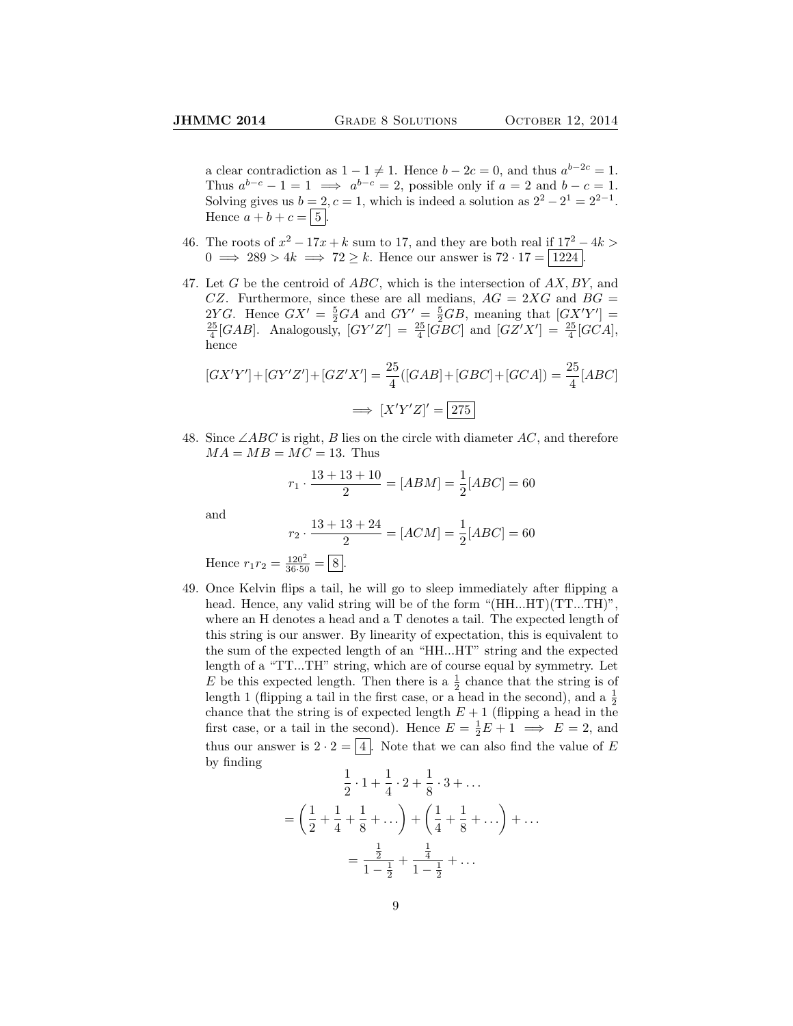a clear contradiction as  $1 - 1 \neq 1$ . Hence  $b - 2c = 0$ , and thus  $a^{b-2c} = 1$ . Thus  $a^{b-c} - 1 = 1 \implies a^{b-c} = 2$ , possible only if  $a = 2$  and  $b - c = 1$ . Solving gives us  $b = 2, c = 1$ , which is indeed a solution as  $2^2 - 2^1 = 2^{2-1}$ . Hence  $a + b + c = |5|$ .

- 46. The roots of  $x^2 17x + k$  sum to 17, and they are both real if  $17^2 4k$  $0 \implies 289 > 4k \implies 72 \ge k$ . Hence our answer is  $72 \cdot 17 = 1224$ .
- 47. Let G be the centroid of  $ABC$ , which is the intersection of  $AX, BY$ , and CZ. Furthermore, since these are all medians,  $AG = 2XG$  and  $BG =$ 2YG. Hence  $GX' = \frac{5}{2}GA$  and  $GY' = \frac{5}{2}GB$ , meaning that  $[GXY'] = \frac{25}{4}[GAB]$ . Analogously,  $[GY'Z'] = \frac{25}{4}[GBC]$  and  $[GZ'X'] = \frac{25}{4}[GCA]$ , hence

$$
[GX'Y'] + [GY'Z'] + [GZ'X'] = \frac{25}{4}([GAB] + [GBC] + [GCA]) = \frac{25}{4}[ABC]
$$

$$
\implies [X'Y'Z]' = \boxed{275}
$$

48. Since  $\angle ABC$  is right, B lies on the circle with diameter AC, and therefore  $MA = MB = MC = 13$ . Thus

$$
r_1 \cdot \frac{13 + 13 + 10}{2} = [ABM] = \frac{1}{2}[ABC] = 60
$$

and

$$
r_2 \cdot \frac{13 + 13 + 24}{2} = [ACM] = \frac{1}{2}[ABC] = 60
$$

Hence  $r_1 r_2 = \frac{120^2}{36 \cdot 50} = \boxed{8}$ .

49. Once Kelvin flips a tail, he will go to sleep immediately after flipping a head. Hence, any valid string will be of the form "(HH...HT)(TT...TH)", where an H denotes a head and a T denotes a tail. The expected length of this string is our answer. By linearity of expectation, this is equivalent to the sum of the expected length of an "HH...HT" string and the expected length of a "TT...TH" string, which are of course equal by symmetry. Let E be this expected length. Then there is a  $\frac{1}{2}$  chance that the string is of length 1 (flipping a tail in the first case, or a head in the second), and a  $\frac{1}{2}$ chance that the string is of expected length  $E + 1$  (flipping a head in the first case, or a tail in the second). Hence  $E = \frac{1}{2}E + 1 \implies E = 2$ , and thus our answer is  $2 \cdot 2 = |4|$ . Note that we can also find the value of E by finding

$$
\frac{1}{2} \cdot 1 + \frac{1}{4} \cdot 2 + \frac{1}{8} \cdot 3 + \dots
$$

$$
= \left(\frac{1}{2} + \frac{1}{4} + \frac{1}{8} + \dots\right) + \left(\frac{1}{4} + \frac{1}{8} + \dots\right) + \dots
$$

$$
= \frac{\frac{1}{2}}{1 - \frac{1}{2}} + \frac{\frac{1}{4}}{1 - \frac{1}{2}} + \dots
$$